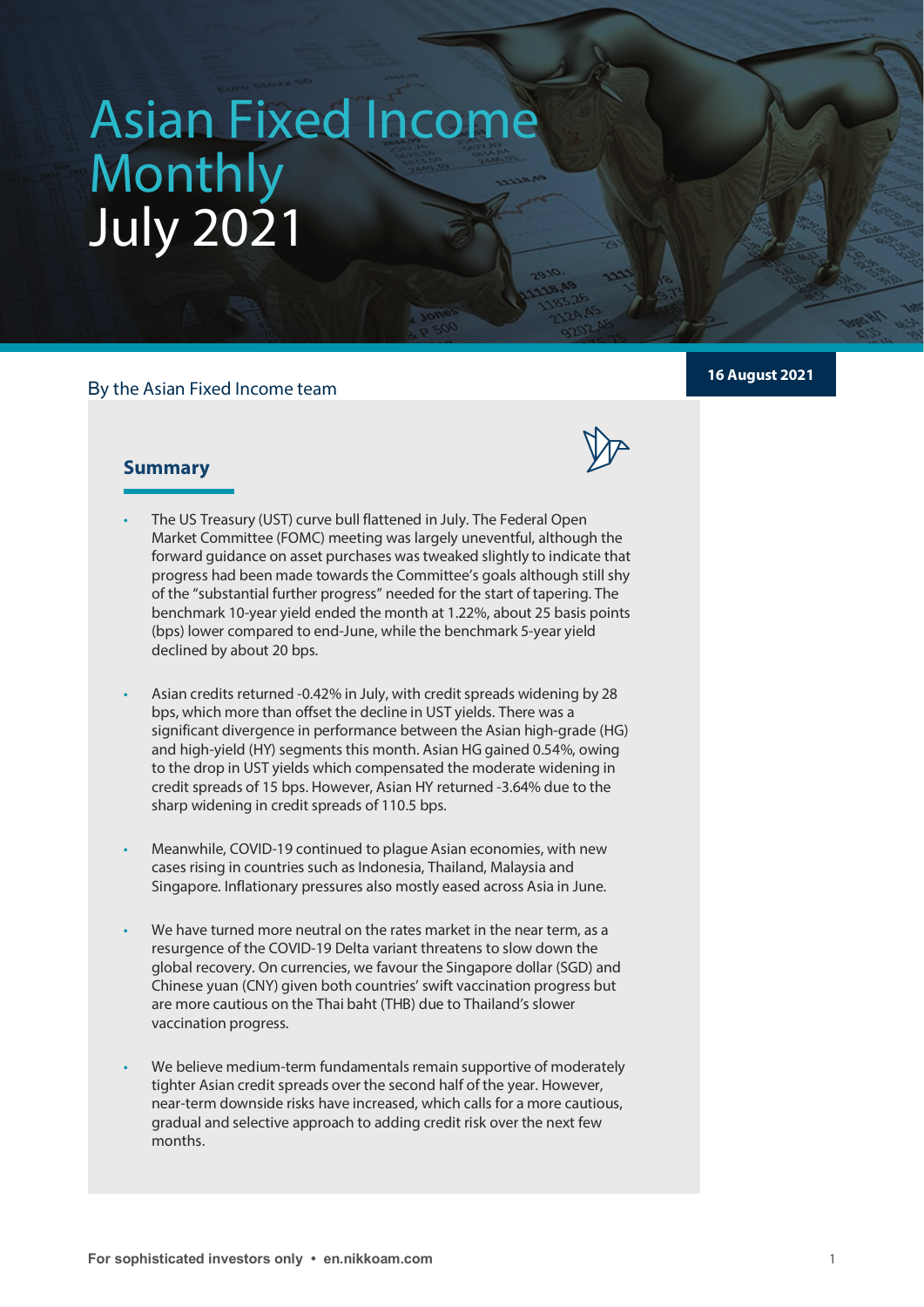# **Asian Fixed Income Monthly** Asian Fixed Income Monthly July 2021

## By the Asian Fixed Income team



# **Summary**

- The US Treasury (UST) curve bull flattened in July. The Federal Open Market Committee (FOMC) meeting was largely uneventful, although the forward guidance on asset purchases was tweaked slightly to indicate that progress had been made towards the Committee's goals although still shy of the "substantial further progress" needed for the start of tapering. The benchmark 10-year yield ended the month at 1.22%, about 25 basis points (bps) lower compared to end-June, while the benchmark 5-year yield declined by about 20 bps.
- Asian credits returned -0.42% in July, with credit spreads widening by 28 bps, which more than offset the decline in UST yields. There was a significant divergence in performance between the Asian high-grade (HG) and high-yield (HY) segments this month. Asian HG gained 0.54%, owing to the drop in UST yields which compensated the moderate widening in credit spreads of 15 bps. However, Asian HY returned -3.64% due to the sharp widening in credit spreads of 110.5 bps.
- Meanwhile, COVID-19 continued to plague Asian economies, with new cases rising in countries such as Indonesia, Thailand, Malaysia and Singapore. Inflationary pressures also mostly eased across Asia in June.
- We have turned more neutral on the rates market in the near term, as a resurgence of the COVID-19 Delta variant threatens to slow down the global recovery. On currencies, we favour the Singapore dollar (SGD) and Chinese yuan (CNY) given both countries' swift vaccination progress but are more cautious on the Thai baht (THB) due to Thailand's slower vaccination progress.
- We believe medium-term fundamentals remain supportive of moderately tighter Asian credit spreads over the second half of the year. However, near-term downside risks have increased, which calls for a more cautious, gradual and selective approach to adding credit risk over the next few months.

# **16 August 2021**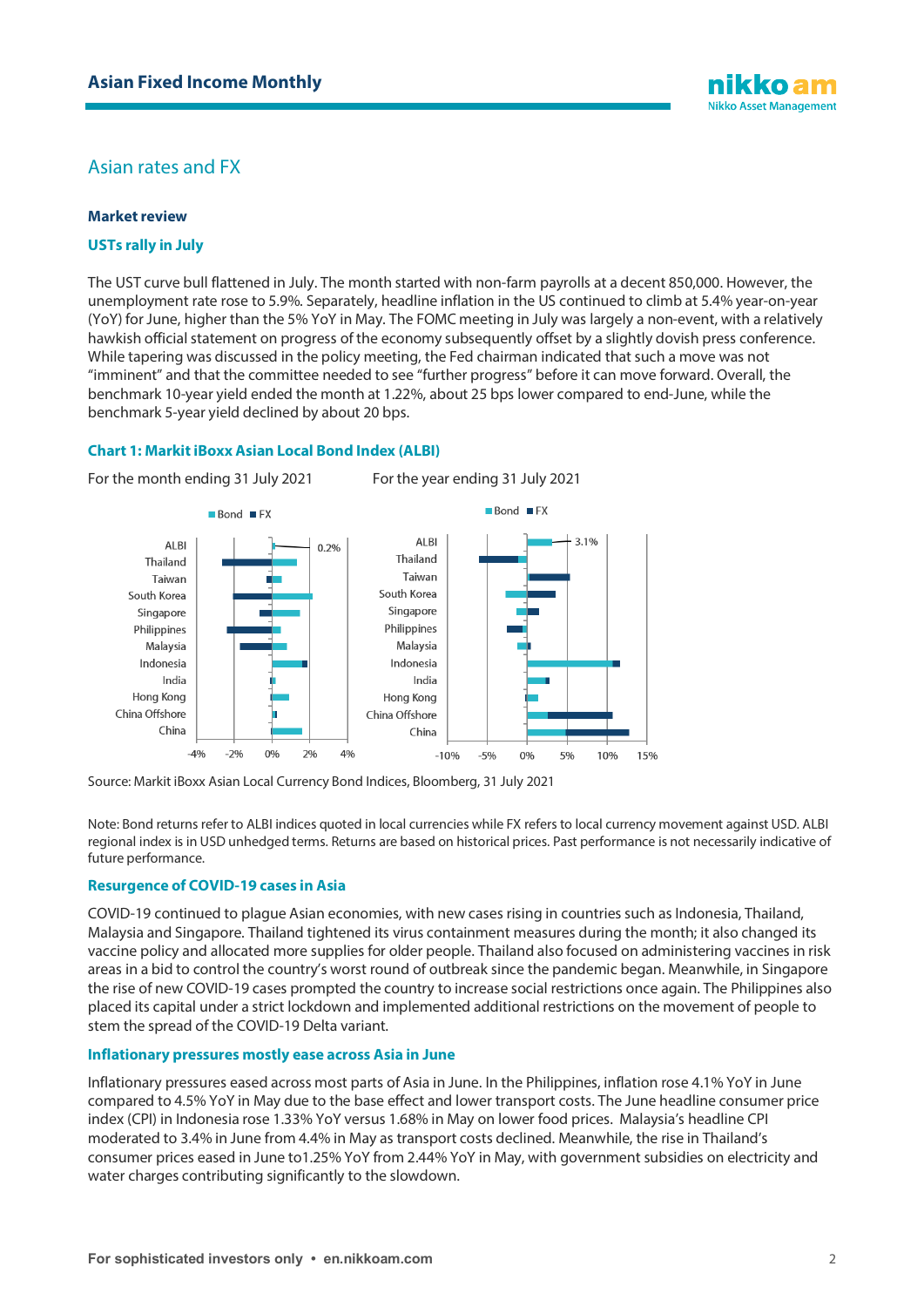

# Asian rates and FX

## **Market review**

## **USTs rally in July**

The UST curve bull flattened in July. The month started with non-farm payrolls at a decent 850,000. However, the unemployment rate rose to 5.9%. Separately, headline inflation in the US continued to climb at 5.4% year-on-year (YoY) for June, higher than the 5% YoY in May. The FOMC meeting in July was largely a non-event, with a relatively hawkish official statement on progress of the economy subsequently offset by a slightly dovish press conference. While tapering was discussed in the policy meeting, the Fed chairman indicated that such a move was not "imminent" and that the committee needed to see "further progress" before it can move forward. Overall, the benchmark 10-year yield ended the month at 1.22%, about 25 bps lower compared to end-June, while the benchmark 5-year yield declined by about 20 bps.

## **Chart 1: Markit iBoxx Asian Local Bond Index (ALBI)**



Source: Markit iBoxx Asian Local Currency Bond Indices, Bloomberg, 31 July 2021

Note: Bond returns refer to ALBI indices quoted in local currencies while FX refers to local currency movement against USD. ALBI regional index is in USD unhedged terms. Returns are based on historical prices. Past performance is not necessarily indicative of future performance.

## **Resurgence of COVID-19 cases in Asia**

COVID-19 continued to plague Asian economies, with new cases rising in countries such as Indonesia, Thailand, Malaysia and Singapore. Thailand tightened its virus containment measures during the month; it also changed its vaccine policy and allocated more supplies for older people. Thailand also focused on administering vaccines in risk areas in a bid to control the country's worst round of outbreak since the pandemic began. Meanwhile, in Singapore the rise of new COVID-19 cases prompted the country to increase social restrictions once again. The Philippines also placed its capital under a strict lockdown and implemented additional restrictions on the movement of people to stem the spread of the COVID-19 Delta variant.

### **Inflationary pressures mostly ease across Asia in June**

Inflationary pressures eased across most parts of Asia in June. In the Philippines, inflation rose 4.1% YoY in June compared to 4.5% YoY in May due to the base effect and lower transport costs. The June headline consumer price index (CPI) in Indonesia rose 1.33% YoY versus 1.68% in May on lower food prices. Malaysia's headline CPI moderated to 3.4% in June from 4.4% in May as transport costs declined. Meanwhile, the rise in Thailand's consumer prices eased in June to1.25% YoY from 2.44% YoY in May, with government subsidies on electricity and water charges contributing significantly to the slowdown.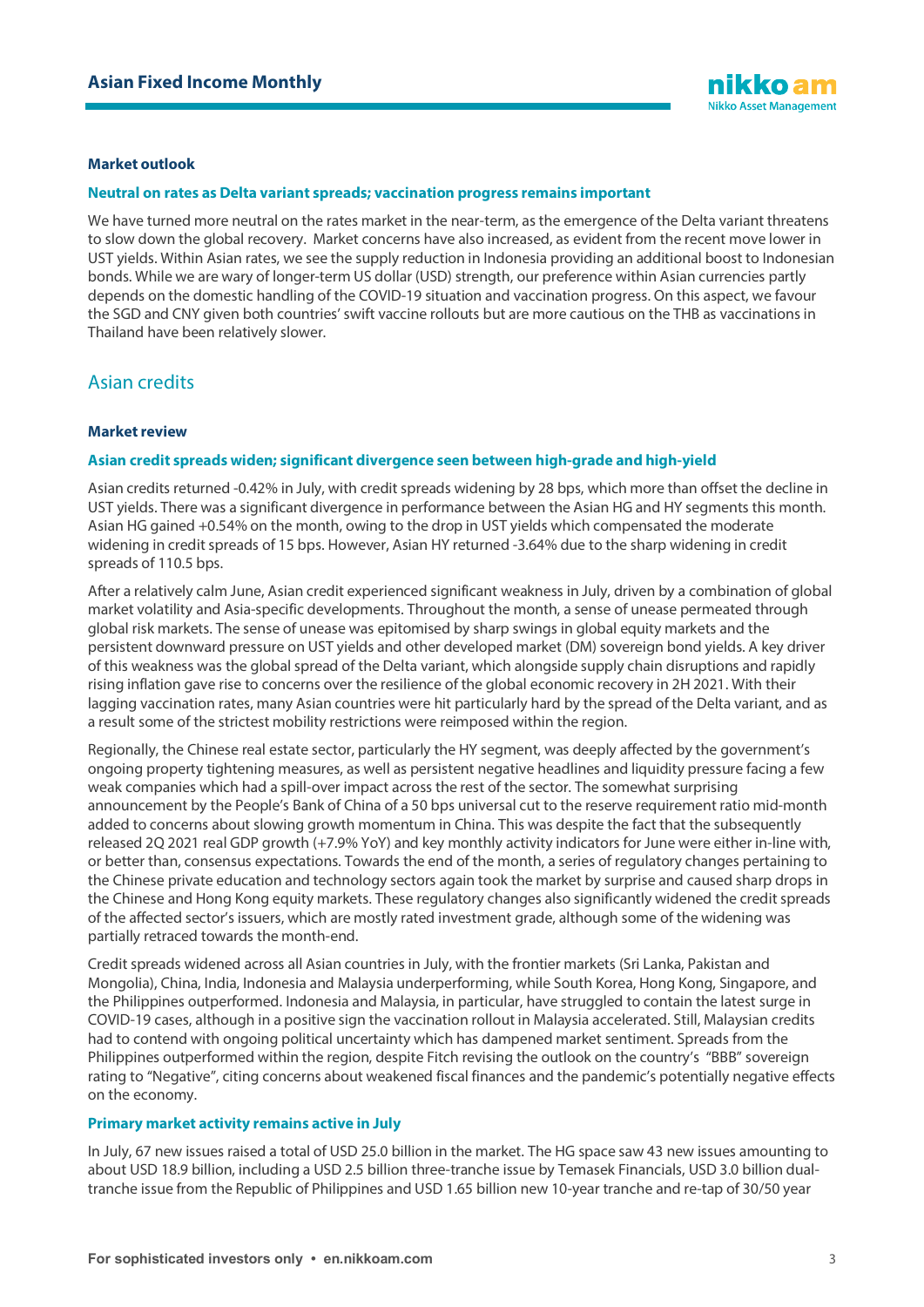#### **Market outlook**

#### **Neutral on rates as Delta variant spreads; vaccination progress remains important**

We have turned more neutral on the rates market in the near-term, as the emergence of the Delta variant threatens to slow down the global recovery. Market concerns have also increased, as evident from the recent move lower in UST yields. Within Asian rates, we see the supply reduction in Indonesia providing an additional boost to Indonesian bonds. While we are wary of longer-term US dollar (USD) strength, our preference within Asian currencies partly depends on the domestic handling of the COVID-19 situation and vaccination progress. On this aspect, we favour the SGD and CNY given both countries' swift vaccine rollouts but are more cautious on the THB as vaccinations in Thailand have been relatively slower.

# Asian credits

#### **Market review**

#### **Asian credit spreads widen; significant divergence seen between high-grade and high-yield**

Asian credits returned -0.42% in July, with credit spreads widening by 28 bps, which more than offset the decline in UST yields. There was a significant divergence in performance between the Asian HG and HY segments this month. Asian HG gained +0.54% on the month, owing to the drop in UST yields which compensated the moderate widening in credit spreads of 15 bps. However, Asian HY returned -3.64% due to the sharp widening in credit spreads of 110.5 bps.

After a relatively calm June, Asian credit experienced significant weakness in July, driven by a combination of global market volatility and Asia-specific developments. Throughout the month, a sense of unease permeated through global risk markets. The sense of unease was epitomised by sharp swings in global equity markets and the persistent downward pressure on UST yields and other developed market (DM) sovereign bond yields. A key driver of this weakness was the global spread of the Delta variant, which alongside supply chain disruptions and rapidly rising inflation gave rise to concerns over the resilience of the global economic recovery in 2H 2021. With their lagging vaccination rates, many Asian countries were hit particularly hard by the spread of the Delta variant, and as a result some of the strictest mobility restrictions were reimposed within the region.

Regionally, the Chinese real estate sector, particularly the HY segment, was deeply affected by the government's ongoing property tightening measures, as well as persistent negative headlines and liquidity pressure facing a few weak companies which had a spill-over impact across the rest of the sector. The somewhat surprising announcement by the People's Bank of China of a 50 bps universal cut to the reserve requirement ratio mid-month added to concerns about slowing growth momentum in China. This was despite the fact that the subsequently released 2Q 2021 real GDP growth (+7.9% YoY) and key monthly activity indicators for June were either in-line with, or better than, consensus expectations. Towards the end of the month, a series of regulatory changes pertaining to the Chinese private education and technology sectors again took the market by surprise and caused sharp drops in the Chinese and Hong Kong equity markets. These regulatory changes also significantly widened the credit spreads of the affected sector's issuers, which are mostly rated investment grade, although some of the widening was partially retraced towards the month-end.

Credit spreads widened across all Asian countries in July, with the frontier markets (Sri Lanka, Pakistan and Mongolia), China, India, Indonesia and Malaysia underperforming, while South Korea, Hong Kong, Singapore, and the Philippines outperformed. Indonesia and Malaysia, in particular, have struggled to contain the latest surge in COVID-19 cases, although in a positive sign the vaccination rollout in Malaysia accelerated. Still, Malaysian credits had to contend with ongoing political uncertainty which has dampened market sentiment. Spreads from the Philippines outperformed within the region, despite Fitch revising the outlook on the country's "BBB" sovereign rating to "Negative", citing concerns about weakened fiscal finances and the pandemic's potentially negative effects on the economy.

#### **Primary market activity remains active in July**

In July, 67 new issues raised a total of USD 25.0 billion in the market. The HG space saw 43 new issues amounting to about USD 18.9 billion, including a USD 2.5 billion three-tranche issue by Temasek Financials, USD 3.0 billion dualtranche issue from the Republic of Philippines and USD 1.65 billion new 10-year tranche and re-tap of 30/50 year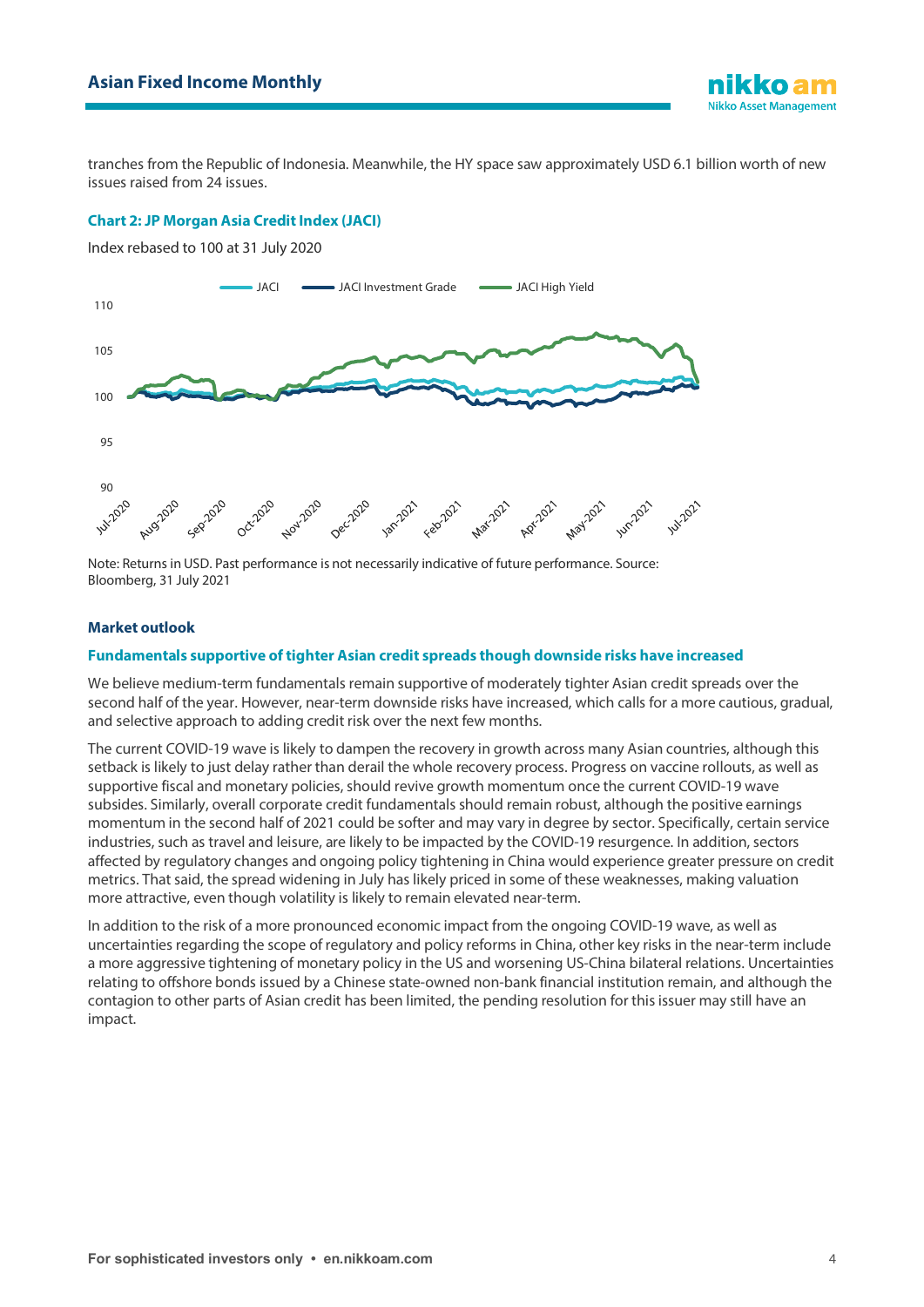

tranches from the Republic of Indonesia. Meanwhile, the HY space saw approximately USD 6.1 billion worth of new issues raised from 24 issues.

#### **Chart 2: JP Morgan Asia Credit Index (JACI)**

Index rebased to 100 at 31 July 2020



Note: Returns in USD. Past performance is not necessarily indicative of future performance. Source: Bloomberg, 31 July 2021

#### **Market outlook**

#### **Fundamentals supportive of tighter Asian credit spreads though downside risks have increased**

We believe medium-term fundamentals remain supportive of moderately tighter Asian credit spreads over the second half of the year. However, near-term downside risks have increased, which calls for a more cautious, gradual, and selective approach to adding credit risk over the next few months.

The current COVID-19 wave is likely to dampen the recovery in growth across many Asian countries, although this setback is likely to just delay rather than derail the whole recovery process. Progress on vaccine rollouts, as well as supportive fiscal and monetary policies, should revive growth momentum once the current COVID-19 wave subsides. Similarly, overall corporate credit fundamentals should remain robust, although the positive earnings momentum in the second half of 2021 could be softer and may vary in degree by sector. Specifically, certain service industries, such as travel and leisure, are likely to be impacted by the COVID-19 resurgence. In addition, sectors affected by regulatory changes and ongoing policy tightening in China would experience greater pressure on credit metrics. That said, the spread widening in July has likely priced in some of these weaknesses, making valuation more attractive, even though volatility is likely to remain elevated near-term.

In addition to the risk of a more pronounced economic impact from the ongoing COVID-19 wave, as well as uncertainties regarding the scope of regulatory and policy reforms in China, other key risks in the near-term include a more aggressive tightening of monetary policy in the US and worsening US-China bilateral relations. Uncertainties relating to offshore bonds issued by a Chinese state-owned non-bank financial institution remain, and although the contagion to other parts of Asian credit has been limited, the pending resolution for this issuer may still have an impact.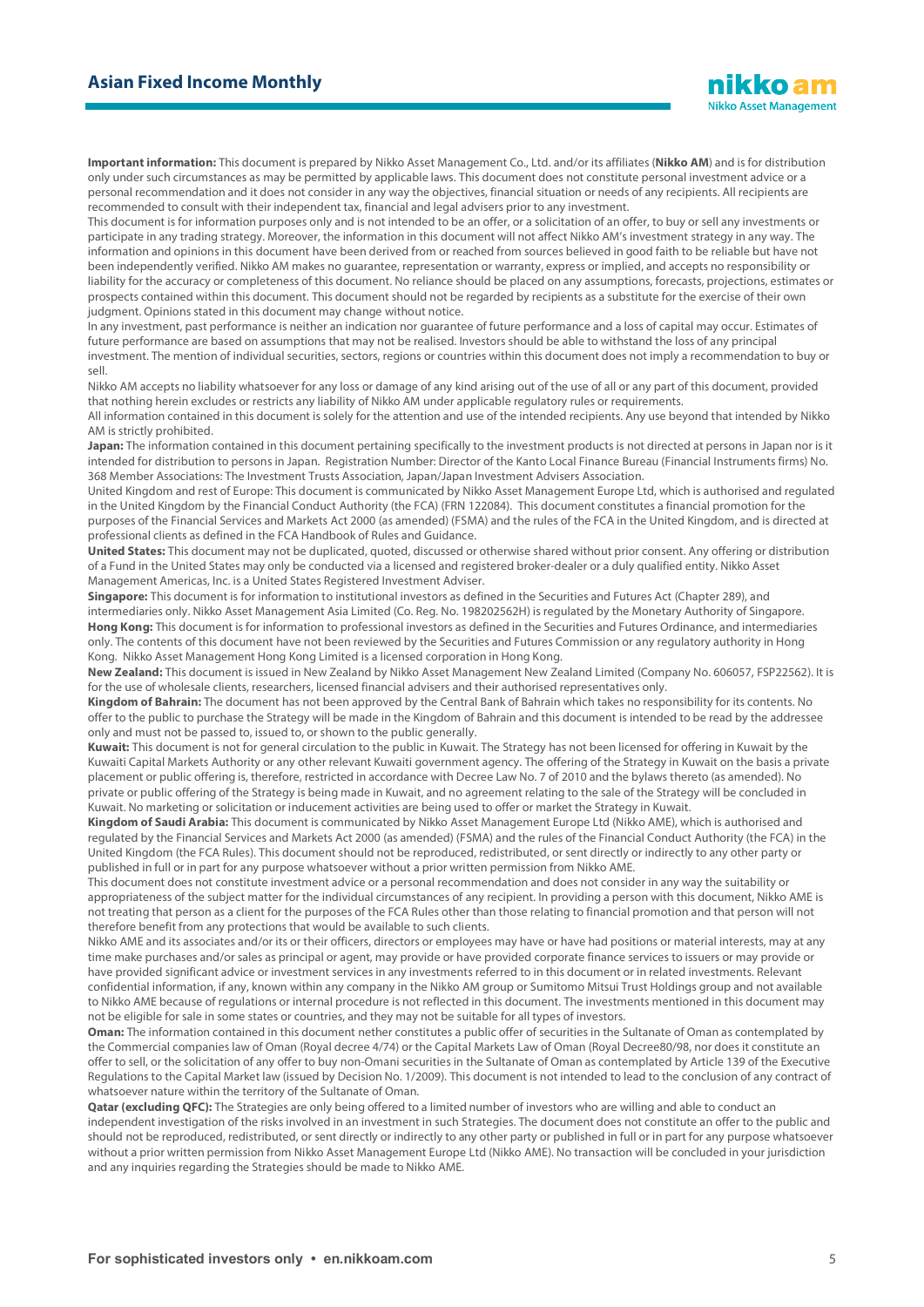**Important information:** This document is prepared by Nikko Asset Management Co., Ltd. and/or its affiliates (**Nikko AM**) and is for distribution only under such circumstances as may be permitted by applicable laws. This document does not constitute personal investment advice or a personal recommendation and it does not consider in any way the objectives, financial situation or needs of any recipients. All recipients are recommended to consult with their independent tax, financial and legal advisers prior to any investment.

This document is for information purposes only and is not intended to be an offer, or a solicitation of an offer, to buy or sell any investments or participate in any trading strategy. Moreover, the information in this document will not affect Nikko AM's investment strategy in any way. The information and opinions in this document have been derived from or reached from sources believed in good faith to be reliable but have not been independently verified. Nikko AM makes no guarantee, representation or warranty, express or implied, and accepts no responsibility or liability for the accuracy or completeness of this document. No reliance should be placed on any assumptions, forecasts, projections, estimates or prospects contained within this document. This document should not be regarded by recipients as a substitute for the exercise of their own judgment. Opinions stated in this document may change without notice.

In any investment, past performance is neither an indication nor guarantee of future performance and a loss of capital may occur. Estimates of future performance are based on assumptions that may not be realised. Investors should be able to withstand the loss of any principal investment. The mention of individual securities, sectors, regions or countries within this document does not imply a recommendation to buy or sell.

Nikko AM accepts no liability whatsoever for any loss or damage of any kind arising out of the use of all or any part of this document, provided that nothing herein excludes or restricts any liability of Nikko AM under applicable regulatory rules or requirements.

All information contained in this document is solely for the attention and use of the intended recipients. Any use beyond that intended by Nikko AM is strictly prohibited.

**Japan:** The information contained in this document pertaining specifically to the investment products is not directed at persons in Japan nor is it intended for distribution to persons in Japan. Registration Number: Director of the Kanto Local Finance Bureau (Financial Instruments firms) No. 368 Member Associations: The Investment Trusts Association, Japan/Japan Investment Advisers Association.

United Kingdom and rest of Europe: This document is communicated by Nikko Asset Management Europe Ltd, which is authorised and regulated in the United Kingdom by the Financial Conduct Authority (the FCA) (FRN 122084). This document constitutes a financial promotion for the purposes of the Financial Services and Markets Act 2000 (as amended) (FSMA) and the rules of the FCA in the United Kingdom, and is directed at professional clients as defined in the FCA Handbook of Rules and Guidance.

**United States:** This document may not be duplicated, quoted, discussed or otherwise shared without prior consent. Any offering or distribution of a Fund in the United States may only be conducted via a licensed and registered broker-dealer or a duly qualified entity. Nikko Asset Management Americas, Inc. is a United States Registered Investment Adviser.

**Singapore:** This document is for information to institutional investors as defined in the Securities and Futures Act (Chapter 289), and intermediaries only. Nikko Asset Management Asia Limited (Co. Reg. No. 198202562H) is regulated by the Monetary Authority of Singapore. **Hong Kong:** This document is for information to professional investors as defined in the Securities and Futures Ordinance, and intermediaries only. The contents of this document have not been reviewed by the Securities and Futures Commission or any regulatory authority in Hong Kong. Nikko Asset Management Hong Kong Limited is a licensed corporation in Hong Kong.

**New Zealand:** This document is issued in New Zealand by Nikko Asset Management New Zealand Limited (Company No. 606057, FSP22562). It is for the use of wholesale clients, researchers, licensed financial advisers and their authorised representatives only.

**Kingdom of Bahrain:** The document has not been approved by the Central Bank of Bahrain which takes no responsibility for its contents. No offer to the public to purchase the Strategy will be made in the Kingdom of Bahrain and this document is intended to be read by the addressee only and must not be passed to, issued to, or shown to the public generally.

**Kuwait:** This document is not for general circulation to the public in Kuwait. The Strategy has not been licensed for offering in Kuwait by the Kuwaiti Capital Markets Authority or any other relevant Kuwaiti government agency. The offering of the Strategy in Kuwait on the basis a private placement or public offering is, therefore, restricted in accordance with Decree Law No. 7 of 2010 and the bylaws thereto (as amended). No private or public offering of the Strategy is being made in Kuwait, and no agreement relating to the sale of the Strategy will be concluded in Kuwait. No marketing or solicitation or inducement activities are being used to offer or market the Strategy in Kuwait.

**Kingdom of Saudi Arabia:** This document is communicated by Nikko Asset Management Europe Ltd (Nikko AME), which is authorised and regulated by the Financial Services and Markets Act 2000 (as amended) (FSMA) and the rules of the Financial Conduct Authority (the FCA) in the United Kingdom (the FCA Rules). This document should not be reproduced, redistributed, or sent directly or indirectly to any other party or published in full or in part for any purpose whatsoever without a prior written permission from Nikko AME.

This document does not constitute investment advice or a personal recommendation and does not consider in any way the suitability or appropriateness of the subject matter for the individual circumstances of any recipient. In providing a person with this document, Nikko AME is not treating that person as a client for the purposes of the FCA Rules other than those relating to financial promotion and that person will not therefore benefit from any protections that would be available to such clients.

Nikko AME and its associates and/or its or their officers, directors or employees may have or have had positions or material interests, may at any time make purchases and/or sales as principal or agent, may provide or have provided corporate finance services to issuers or may provide or have provided significant advice or investment services in any investments referred to in this document or in related investments. Relevant confidential information, if any, known within any company in the Nikko AM group or Sumitomo Mitsui Trust Holdings group and not available to Nikko AME because of regulations or internal procedure is not reflected in this document. The investments mentioned in this document may not be eligible for sale in some states or countries, and they may not be suitable for all types of investors.

**Oman:** The information contained in this document nether constitutes a public offer of securities in the Sultanate of Oman as contemplated by the Commercial companies law of Oman (Royal decree 4/74) or the Capital Markets Law of Oman (Royal Decree80/98, nor does it constitute an offer to sell, or the solicitation of any offer to buy non-Omani securities in the Sultanate of Oman as contemplated by Article 139 of the Executive Regulations to the Capital Market law (issued by Decision No. 1/2009). This document is not intended to lead to the conclusion of any contract of whatsoever nature within the territory of the Sultanate of Oman.

**Qatar (excluding QFC):** The Strategies are only being offered to a limited number of investors who are willing and able to conduct an independent investigation of the risks involved in an investment in such Strategies. The document does not constitute an offer to the public and should not be reproduced, redistributed, or sent directly or indirectly to any other party or published in full or in part for any purpose whatsoever without a prior written permission from Nikko Asset Management Europe Ltd (Nikko AME). No transaction will be concluded in your jurisdiction and any inquiries regarding the Strategies should be made to Nikko AME.